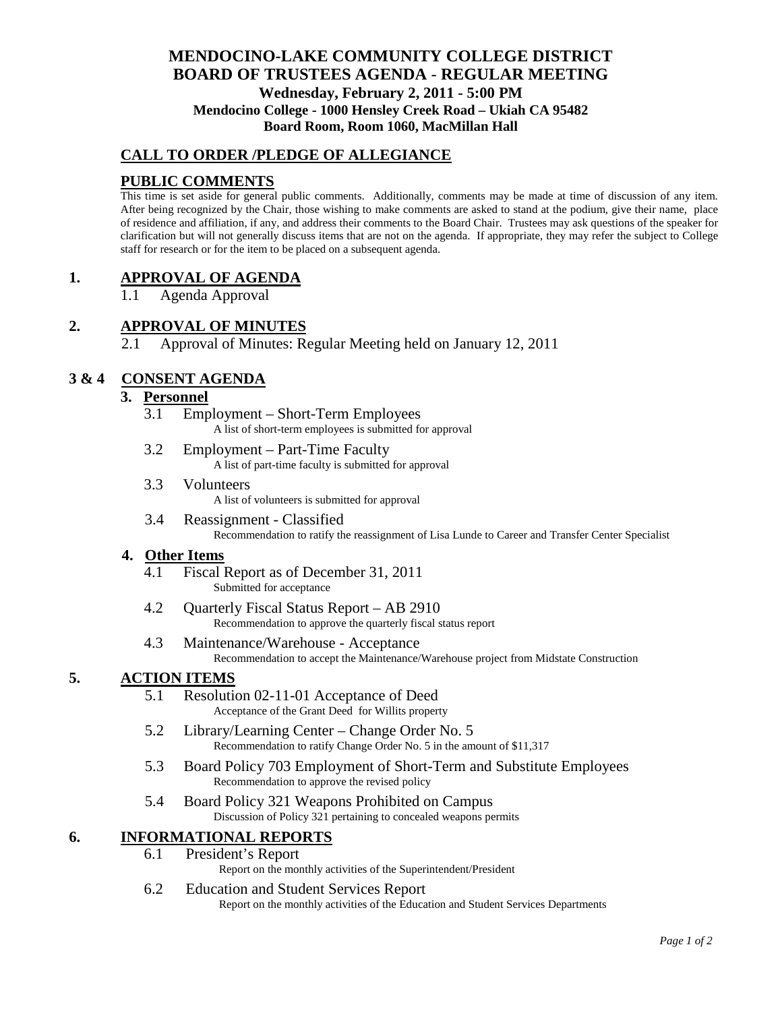# **MENDOCINO-LAKE COMMUNITY COLLEGE DISTRICT BOARD OF TRUSTEES AGENDA** - **REGULAR MEETING Wednesday, February 2, 2011 - 5:00 PM Mendocino College - 1000 Hensley Creek Road – Ukiah CA 95482 Board Room, Room 1060, MacMillan Hall**

# **CALL TO ORDER /PLEDGE OF ALLEGIANCE**

# **PUBLIC COMMENTS**

This time is set aside for general public comments. Additionally, comments may be made at time of discussion of any item. After being recognized by the Chair, those wishing to make comments are asked to stand at the podium, give their name, place of residence and affiliation, if any, and address their comments to the Board Chair. Trustees may ask questions of the speaker for clarification but will not generally discuss items that are not on the agenda. If appropriate, they may refer the subject to College staff for research or for the item to be placed on a subsequent agenda.

# **1. APPROVAL OF AGENDA**

1.1 Agenda Approval

## **2. APPROVAL OF MINUTES**

2.1 Approval of Minutes: Regular Meeting held on January 12, 2011

# **3 & 4 CONSENT AGENDA**

#### **3. Personnel**

- 3.1 Employment Short-Term Employees A list of short-term employees is submitted for approval
- 3.2 Employment Part-Time Faculty A list of part-time faculty is submitted for approval
- 3.3 Volunteers A list of volunteers is submitted for approval
- 3.4 Reassignment Classified Recommendation to ratify the reassignment of Lisa Lunde to Career and Transfer Center Specialist

#### **4. Other Items**

- 4.1 Fiscal Report as of December 31, 2011 Submitted for acceptance
- 4.2 Quarterly Fiscal Status Report AB 2910 Recommendation to approve the quarterly fiscal status report
- 4.3 Maintenance/Warehouse Acceptance Recommendation to accept the Maintenance/Warehouse project from Midstate Construction

## **5. ACTION ITEMS**

- 5.1 Resolution 02-11-01 Acceptance of Deed Acceptance of the Grant Deed for Willits property
- 5.2 Library/Learning Center Change Order No. 5 Recommendation to ratify Change Order No. 5 in the amount of \$11,317
- 5.3 Board Policy 703 Employment of Short-Term and Substitute Employees Recommendation to approve the revised policy
- 5.4 Board Policy 321 Weapons Prohibited on Campus Discussion of Policy 321 pertaining to concealed weapons permits

## **6. INFORMATIONAL REPORTS**

6.1 President's Report

Report on the monthly activities of the Superintendent/President

6.2 Education and Student Services Report Report on the monthly activities of the Education and Student Services Departments